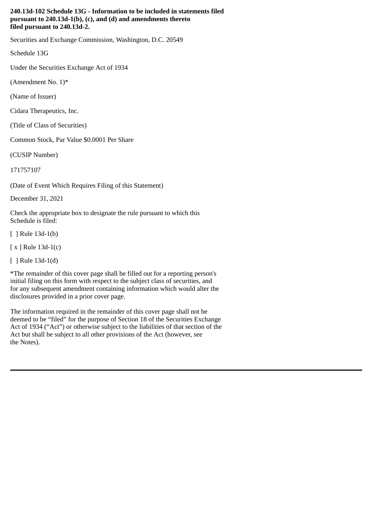## **240.13d-102 Schedule 13G - Information to be included in statements filed pursuant to 240.13d-1(b), (c), and (d) and amendments thereto filed pursuant to 240.13d-2.**

Securities and Exchange Commission, Washington, D.C. 20549

Schedule 13G

Under the Securities Exchange Act of 1934

(Amendment No.  $1$ <sup>\*</sup>

(Name of Issuer)

Cidara Therapeutics, Inc.

(Title of Class of Securities)

Common Stock, Par Value \$0.0001 Per Share

(CUSIP Number)

171757107

(Date of Event Which Requires Filing of this Statement)

December 31, 2021

Check the appropriate box to designate the rule pursuant to which this Schedule is filed:

[ ] Rule 13d-1(b)

[ x ] Rule 13d-1(c)

[ ] Rule 13d-1(d)

\*The remainder of this cover page shall be filled out for a reporting person's initial filing on this form with respect to the subject class of securities, and for any subsequent amendment containing information which would alter the disclosures provided in a prior cover page.

The information required in the remainder of this cover page shall not be deemed to be "filed" for the purpose of Section 18 of the Securities Exchange Act of 1934 ("Act") or otherwise subject to the liabilities of that section of the Act but shall be subject to all other provisions of the Act (however, see the Notes).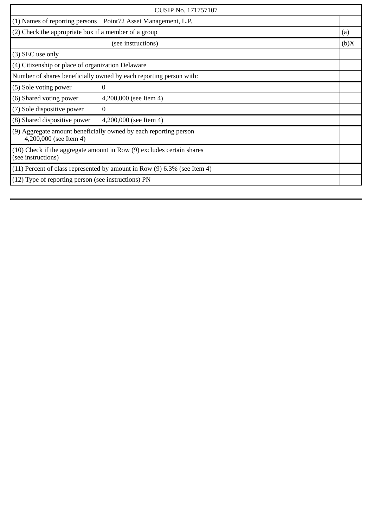| CUSIP No. 171757107                                                                         |                                                                |      |
|---------------------------------------------------------------------------------------------|----------------------------------------------------------------|------|
|                                                                                             | (1) Names of reporting persons  Point72 Asset Management, L.P. |      |
| $(2)$ Check the appropriate box if a member of a group                                      |                                                                | (a)  |
| (see instructions)                                                                          |                                                                | (b)X |
| (3) SEC use only                                                                            |                                                                |      |
| (4) Citizenship or place of organization Delaware                                           |                                                                |      |
| Number of shares beneficially owned by each reporting person with:                          |                                                                |      |
| (5) Sole voting power                                                                       | 0                                                              |      |
| (6) Shared voting power                                                                     | 4,200,000 (see Item 4)                                         |      |
| (7) Sole dispositive power                                                                  | $\theta$                                                       |      |
| (8) Shared dispositive power                                                                | 4,200,000 (see Item 4)                                         |      |
| (9) Aggregate amount beneficially owned by each reporting person<br>4,200,000 (see Item 4)  |                                                                |      |
| (10) Check if the aggregate amount in Row (9) excludes certain shares<br>(see instructions) |                                                                |      |
| $(11)$ Percent of class represented by amount in Row $(9)$ 6.3% (see Item 4)                |                                                                |      |
| (12) Type of reporting person (see instructions) PN                                         |                                                                |      |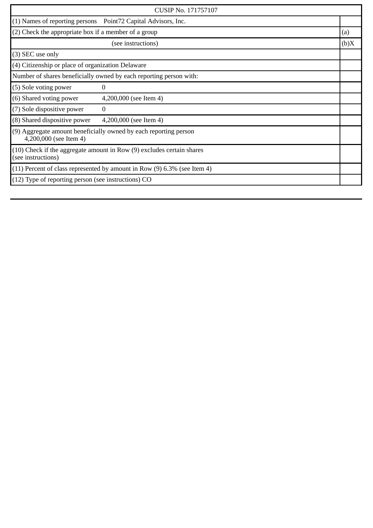| <b>CUSIP No. 171757107</b>                                                                      |                                                                |      |
|-------------------------------------------------------------------------------------------------|----------------------------------------------------------------|------|
|                                                                                                 | (1) Names of reporting persons  Point72 Capital Advisors, Inc. |      |
| (2) Check the appropriate box if a member of a group                                            |                                                                | (a)  |
|                                                                                                 | (see instructions)                                             | (b)X |
| (3) SEC use only                                                                                |                                                                |      |
| $(4)$ Citizenship or place of organization Delaware                                             |                                                                |      |
| Number of shares beneficially owned by each reporting person with:                              |                                                                |      |
| (5) Sole voting power                                                                           | 0                                                              |      |
| (6) Shared voting power                                                                         | 4,200,000 (see Item 4)                                         |      |
| (7) Sole dispositive power                                                                      | $\Omega$                                                       |      |
| (8) Shared dispositive power                                                                    | 4,200,000 (see Item 4)                                         |      |
| (9) Aggregate amount beneficially owned by each reporting person<br>4,200,000 (see Item 4)      |                                                                |      |
| $(10)$ Check if the aggregate amount in Row $(9)$ excludes certain shares<br>(see instructions) |                                                                |      |
| $(11)$ Percent of class represented by amount in Row $(9)$ 6.3% (see Item 4)                    |                                                                |      |
| $(12)$ Type of reporting person (see instructions) CO                                           |                                                                |      |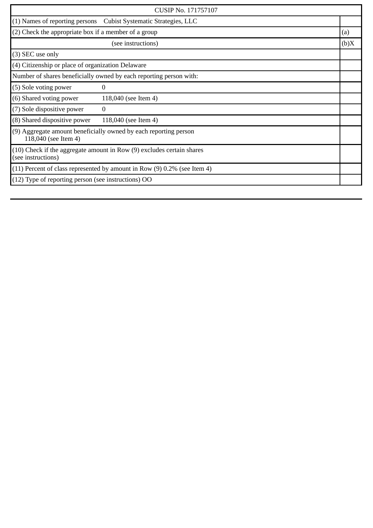| CUSIP No. 171757107                                                                         |                                                                  |      |
|---------------------------------------------------------------------------------------------|------------------------------------------------------------------|------|
|                                                                                             | (1) Names of reporting persons Cubist Systematic Strategies, LLC |      |
| (2) Check the appropriate box if a member of a group                                        |                                                                  | (a)  |
|                                                                                             | (see instructions)                                               | (b)X |
| (3) SEC use only                                                                            |                                                                  |      |
| (4) Citizenship or place of organization Delaware                                           |                                                                  |      |
| Number of shares beneficially owned by each reporting person with:                          |                                                                  |      |
| (5) Sole voting power                                                                       | 0                                                                |      |
| (6) Shared voting power                                                                     | 118,040 (see Item 4)                                             |      |
| (7) Sole dispositive power                                                                  | $\Omega$                                                         |      |
| (8) Shared dispositive power                                                                | 118,040 (see Item 4)                                             |      |
| (9) Aggregate amount beneficially owned by each reporting person<br>118,040 (see Item 4)    |                                                                  |      |
| (10) Check if the aggregate amount in Row (9) excludes certain shares<br>(see instructions) |                                                                  |      |
| $(11)$ Percent of class represented by amount in Row $(9)$ 0.2% (see Item 4)                |                                                                  |      |
| (12) Type of reporting person (see instructions) OO                                         |                                                                  |      |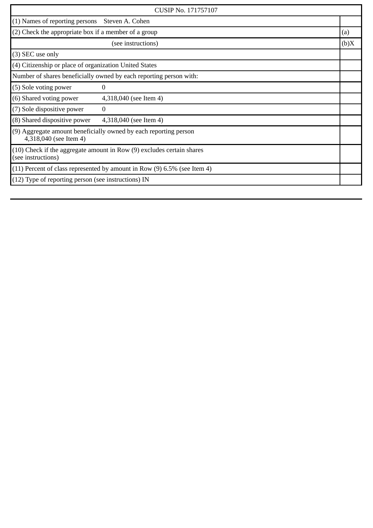| <b>CUSIP No. 171757107</b>                                                                      |                        |      |
|-------------------------------------------------------------------------------------------------|------------------------|------|
| $(1)$ Names of reporting persons                                                                | Steven A. Cohen        |      |
| (2) Check the appropriate box if a member of a group                                            |                        | (a)  |
| (see instructions)                                                                              |                        | (b)X |
| (3) SEC use only                                                                                |                        |      |
| (4) Citizenship or place of organization United States                                          |                        |      |
| Number of shares beneficially owned by each reporting person with:                              |                        |      |
| (5) Sole voting power                                                                           | $\Omega$               |      |
| (6) Shared voting power                                                                         | 4,318,040 (see Item 4) |      |
| (7) Sole dispositive power                                                                      | 0                      |      |
| (8) Shared dispositive power                                                                    | 4,318,040 (see Item 4) |      |
| (9) Aggregate amount beneficially owned by each reporting person<br>4,318,040 (see Item 4)      |                        |      |
| $(10)$ Check if the aggregate amount in Row $(9)$ excludes certain shares<br>(see instructions) |                        |      |
| $(11)$ Percent of class represented by amount in Row $(9)$ 6.5% (see Item 4)                    |                        |      |
| $(12)$ Type of reporting person (see instructions) IN                                           |                        |      |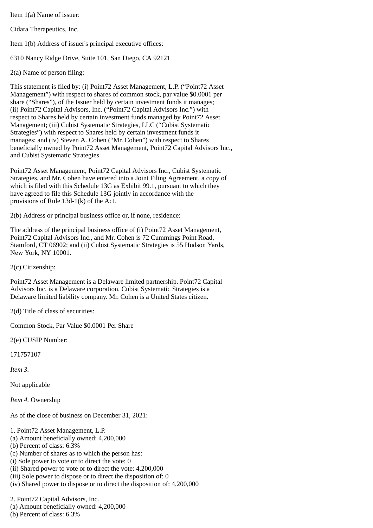Item 1(a) Name of issuer:

Cidara Therapeutics, Inc.

Item 1(b) Address of issuer's principal executive offices:

6310 Nancy Ridge Drive, Suite 101, San Diego, CA 92121

2(a) Name of person filing:

This statement is filed by: (i) Point72 Asset Management, L.P. ("Point72 Asset Management") with respect to shares of common stock, par value \$0.0001 per share ("Shares"), of the Issuer held by certain investment funds it manages; (ii) Point72 Capital Advisors, Inc. ("Point72 Capital Advisors Inc.") with respect to Shares held by certain investment funds managed by Point72 Asset Management; (iii) Cubist Systematic Strategies, LLC ("Cubist Systematic Strategies") with respect to Shares held by certain investment funds it manages; and (iv) Steven A. Cohen ("Mr. Cohen") with respect to Shares beneficially owned by Point72 Asset Management, Point72 Capital Advisors Inc., and Cubist Systematic Strategies.

Point72 Asset Management, Point72 Capital Advisors Inc., Cubist Systematic Strategies, and Mr. Cohen have entered into a Joint Filing Agreement, a copy of which is filed with this Schedule 13G as Exhibit 99.1, pursuant to which they have agreed to file this Schedule 13G jointly in accordance with the provisions of Rule 13d-1(k) of the Act.

2(b) Address or principal business office or, if none, residence:

The address of the principal business office of (i) Point72 Asset Management, Point72 Capital Advisors Inc., and Mr. Cohen is 72 Cummings Point Road, Stamford, CT 06902; and (ii) Cubist Systematic Strategies is 55 Hudson Yards, New York, NY 10001.

2(c) Citizenship:

Point72 Asset Management is a Delaware limited partnership. Point72 Capital Advisors Inc. is a Delaware corporation. Cubist Systematic Strategies is a Delaware limited liability company. Mr. Cohen is a United States citizen.

2(d) Title of class of securities:

Common Stock, Par Value \$0.0001 Per Share

2(e) CUSIP Number:

171757107

*Item 3.*

Not applicable

*Item 4.* Ownership

As of the close of business on December 31, 2021:

1. Point72 Asset Management, L.P.

(a) Amount beneficially owned: 4,200,000

(b) Percent of class: 6.3%

(c) Number of shares as to which the person has:

(i) Sole power to vote or to direct the vote: 0

(ii) Shared power to vote or to direct the vote: 4,200,000

(iii) Sole power to dispose or to direct the disposition of: 0

(iv) Shared power to dispose or to direct the disposition of: 4,200,000

2. Point72 Capital Advisors, Inc.

(a) Amount beneficially owned: 4,200,000

(b) Percent of class: 6.3%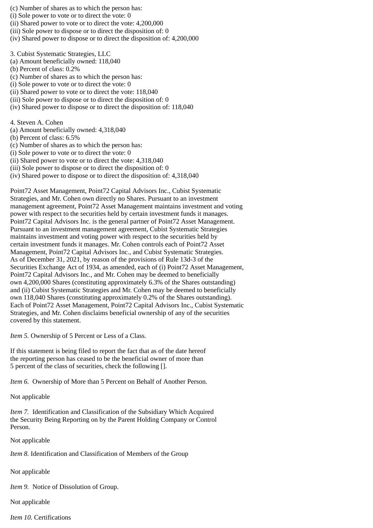(c) Number of shares as to which the person has:

- (i) Sole power to vote or to direct the vote: 0
- (ii) Shared power to vote or to direct the vote: 4,200,000
- (iii) Sole power to dispose or to direct the disposition of: 0
- (iv) Shared power to dispose or to direct the disposition of: 4,200,000
- 3. Cubist Systematic Strategies, LLC
- (a) Amount beneficially owned: 118,040
- (b) Percent of class: 0.2%
- (c) Number of shares as to which the person has:
- (i) Sole power to vote or to direct the vote: 0
- (ii) Shared power to vote or to direct the vote: 118,040
- (iii) Sole power to dispose or to direct the disposition of: 0
- (iv) Shared power to dispose or to direct the disposition of: 118,040

4. Steven A. Cohen

- (a) Amount beneficially owned: 4,318,040
- (b) Percent of class: 6.5%
- (c) Number of shares as to which the person has:
- (i) Sole power to vote or to direct the vote: 0
- (ii) Shared power to vote or to direct the vote: 4,318,040
- (iii) Sole power to dispose or to direct the disposition of: 0
- (iv) Shared power to dispose or to direct the disposition of: 4,318,040

Point72 Asset Management, Point72 Capital Advisors Inc., Cubist Systematic Strategies, and Mr. Cohen own directly no Shares. Pursuant to an investment management agreement, Point72 Asset Management maintains investment and voting power with respect to the securities held by certain investment funds it manages. Point72 Capital Advisors Inc. is the general partner of Point72 Asset Management. Pursuant to an investment management agreement, Cubist Systematic Strategies maintains investment and voting power with respect to the securities held by certain investment funds it manages. Mr. Cohen controls each of Point72 Asset Management, Point72 Capital Advisors Inc., and Cubist Systematic Strategies. As of December 31, 2021, by reason of the provisions of Rule 13d-3 of the Securities Exchange Act of 1934, as amended, each of (i) Point72 Asset Management, Point72 Capital Advisors Inc., and Mr. Cohen may be deemed to beneficially own 4,200,000 Shares (constituting approximately 6.3% of the Shares outstanding) and (ii) Cubist Systematic Strategies and Mr. Cohen may be deemed to beneficially own 118,040 Shares (constituting approximately 0.2% of the Shares outstanding). Each of Point72 Asset Management, Point72 Capital Advisors Inc., Cubist Systematic Strategies, and Mr. Cohen disclaims beneficial ownership of any of the securities covered by this statement.

*Item 5.* Ownership of 5 Percent or Less of a Class.

If this statement is being filed to report the fact that as of the date hereof the reporting person has ceased to be the beneficial owner of more than 5 percent of the class of securities, check the following [].

*Item 6.* Ownership of More than 5 Percent on Behalf of Another Person.

Not applicable

*Item 7.* Identification and Classification of the Subsidiary Which Acquired the Security Being Reporting on by the Parent Holding Company or Control Person.

Not applicable

*Item 8.* Identification and Classification of Members of the Group

Not applicable

*Item 9.* Notice of Dissolution of Group.

Not applicable

*Item 10.* Certifications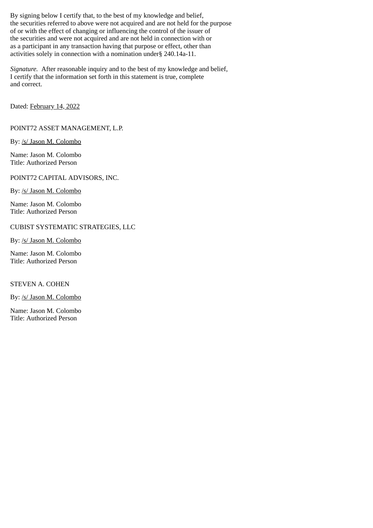By signing below I certify that, to the best of my knowledge and belief, the securities referred to above were not acquired and are not held for the purpose of or with the effect of changing or influencing the control of the issuer of the securities and were not acquired and are not held in connection with or as a participant in any transaction having that purpose or effect, other than activities solely in connection with a nomination under§ 240.14a-11.

*Signature.* After reasonable inquiry and to the best of my knowledge and belief, I certify that the information set forth in this statement is true, complete and correct.

Dated: February 14, 2022

POINT72 ASSET MANAGEMENT, L.P.

By: /s/ Jason M. Colombo

Name: Jason M. Colombo Title: Authorized Person

POINT72 CAPITAL ADVISORS, INC.

By: /s/ Jason M. Colombo

Name: Jason M. Colombo Title: Authorized Person

CUBIST SYSTEMATIC STRATEGIES, LLC

By: /s/ Jason M. Colombo

Name: Jason M. Colombo Title: Authorized Person

STEVEN A. COHEN

By: /s/ Jason M. Colombo

Name: Jason M. Colombo Title: Authorized Person